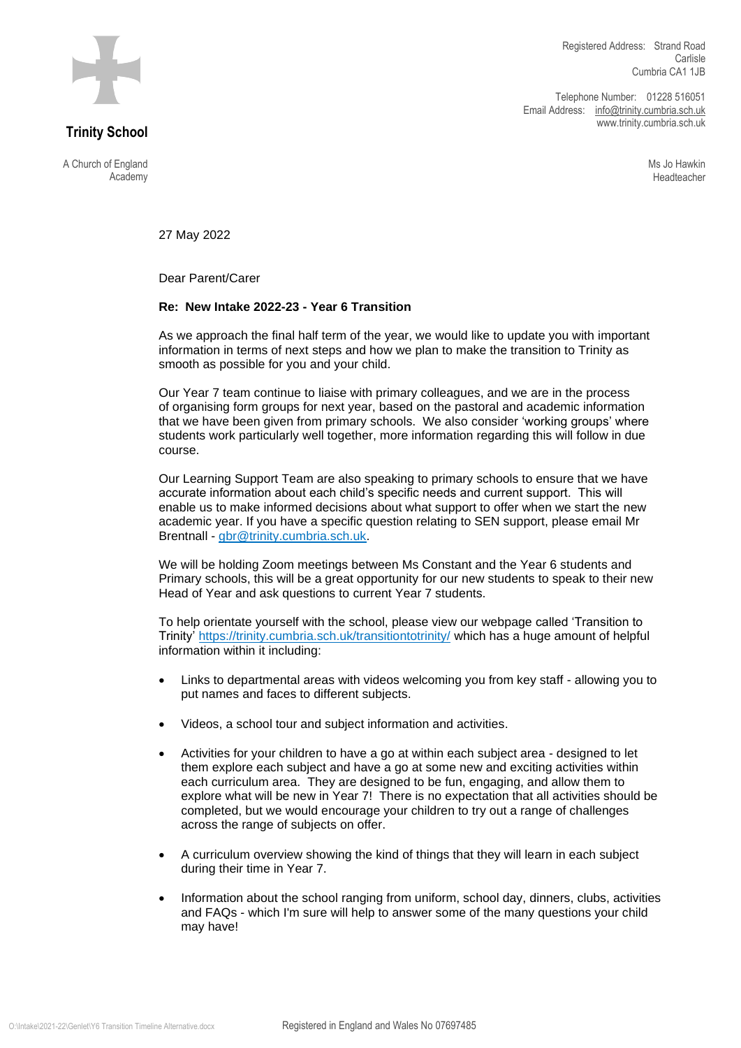

**Trinity School**

A Church of England Academy

Telephone Number: 01228 516051 Email Address: [info@trinity.cumbria.sch.uk](mailto:info@trinity.cumbria.sch.uk) www.trinity.cumbria.sch.uk

> Ms Jo Hawkin Headteacher

27 May 2022

Dear Parent/Carer

## **Re: New Intake 2022-23 - Year 6 Transition**

As we approach the final half term of the year, we would like to update you with important information in terms of next steps and how we plan to make the transition to Trinity as smooth as possible for you and your child.

Our Year 7 team continue to liaise with primary colleagues, and we are in the process of organising form groups for next year, based on the pastoral and academic information that we have been given from primary schools. We also consider 'working groups' where students work particularly well together, more information regarding this will follow in due course.

Our Learning Support Team are also speaking to primary schools to ensure that we have accurate information about each child's specific needs and current support. This will enable us to make informed decisions about what support to offer when we start the new academic year. If you have a specific question relating to SEN support, please email Mr Brentnall - [gbr@trinity.cumbria.sch.uk.](mailto:gbr@trinity.cumbria.sch.uk)

We will be holding Zoom meetings between Ms Constant and the Year 6 students and Primary schools, this will be a great opportunity for our new students to speak to their new Head of Year and ask questions to current Year 7 students.

To help orientate yourself with the school, please view our webpage called 'Transition to Trinity'<https://trinity.cumbria.sch.uk/transitiontotrinity/> which has a huge amount of helpful information within it including:

- Links to departmental areas with videos welcoming you from key staff allowing you to put names and faces to different subjects.
- Videos, a school tour and subject information and activities.
- Activities for your children to have a go at within each subject area designed to let them explore each subject and have a go at some new and exciting activities within each curriculum area. They are designed to be fun, engaging, and allow them to explore what will be new in Year 7! There is no expectation that all activities should be completed, but we would encourage your children to try out a range of challenges across the range of subjects on offer.
- A curriculum overview showing the kind of things that they will learn in each subject during their time in Year 7.
- Information about the school ranging from uniform, school day, dinners, clubs, activities and FAQs - which I'm sure will help to answer some of the many questions your child may have!